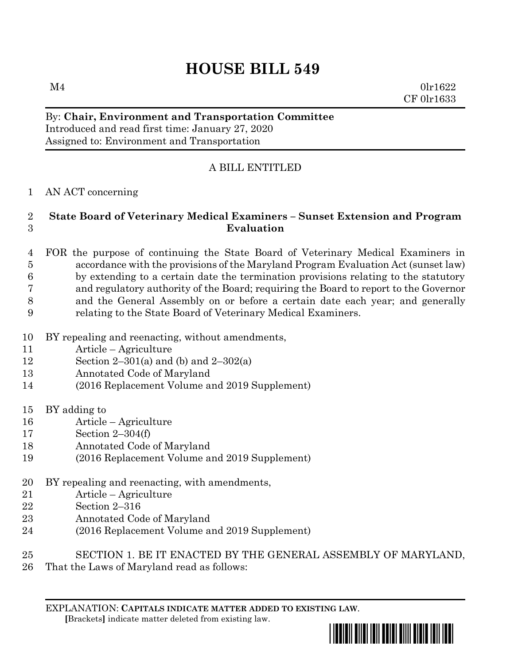# **HOUSE BILL 549**

 $M4$  0lr1622 CF 0lr1633

### By: **Chair, Environment and Transportation Committee** Introduced and read first time: January 27, 2020 Assigned to: Environment and Transportation

## A BILL ENTITLED

## AN ACT concerning

### **State Board of Veterinary Medical Examiners – Sunset Extension and Program Evaluation**

- FOR the purpose of continuing the State Board of Veterinary Medical Examiners in accordance with the provisions of the Maryland Program Evaluation Act (sunset law) by extending to a certain date the termination provisions relating to the statutory and regulatory authority of the Board; requiring the Board to report to the Governor and the General Assembly on or before a certain date each year; and generally relating to the State Board of Veterinary Medical Examiners.
- BY repealing and reenacting, without amendments,
- Article Agriculture
- 12 Section 2–301(a) and (b) and  $2-302(a)$
- Annotated Code of Maryland
- (2016 Replacement Volume and 2019 Supplement)
- BY adding to
- Article Agriculture
- Section 2–304(f)
- Annotated Code of Maryland
- (2016 Replacement Volume and 2019 Supplement)
- BY repealing and reenacting, with amendments,
- Article Agriculture
- Section 2–316
- Annotated Code of Maryland
- (2016 Replacement Volume and 2019 Supplement)
- SECTION 1. BE IT ENACTED BY THE GENERAL ASSEMBLY OF MARYLAND,
- That the Laws of Maryland read as follows: